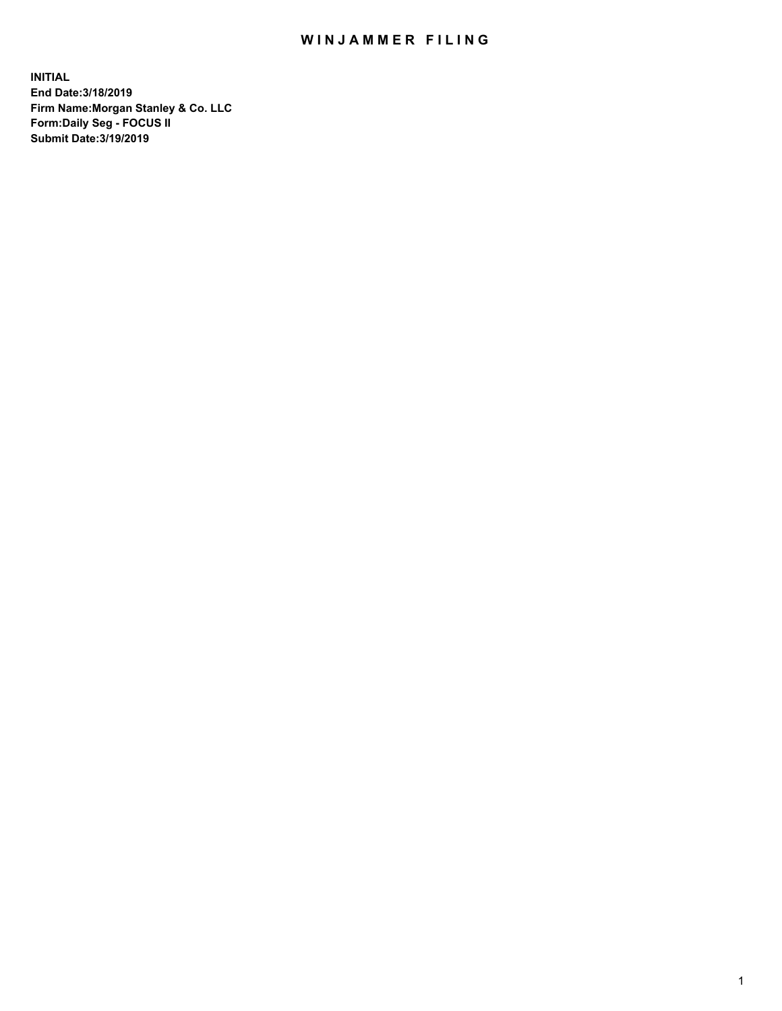## WIN JAMMER FILING

**INITIAL End Date:3/18/2019 Firm Name:Morgan Stanley & Co. LLC Form:Daily Seg - FOCUS II Submit Date:3/19/2019**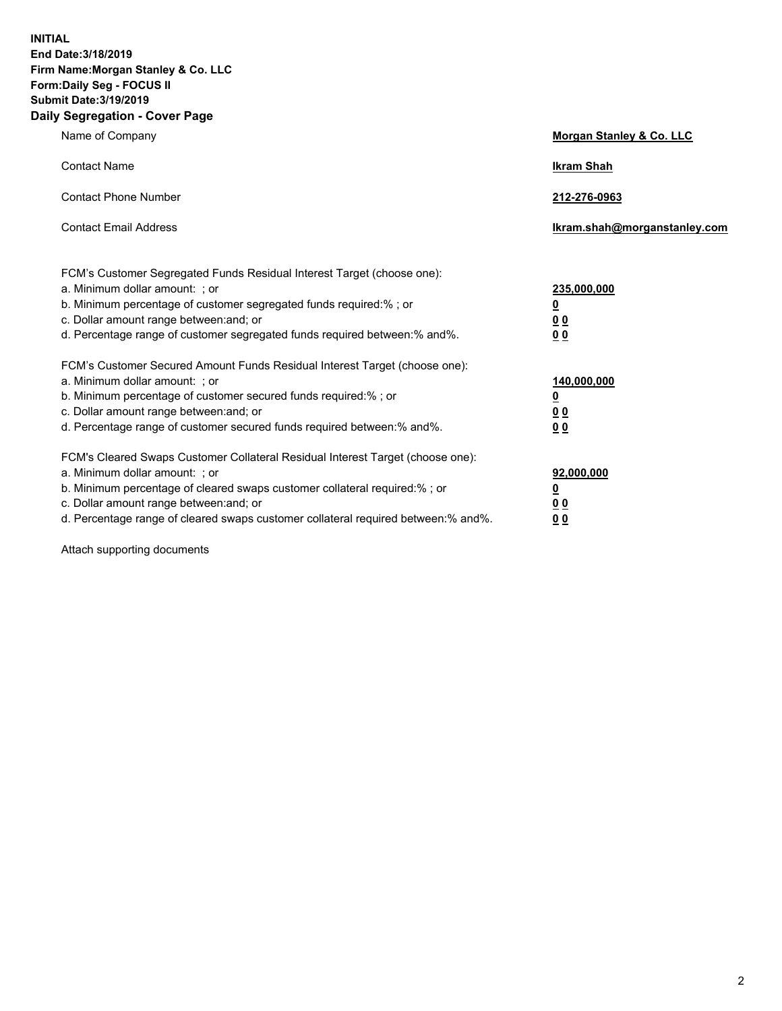**INITIAL End Date:3/18/2019 Firm Name:Morgan Stanley & Co. LLC Form:Daily Seg - FOCUS II Submit Date:3/19/2019 Daily Segregation - Cover Page**

| Name of Company                                                                                                                                                                                                                                                                                                                                                                                          | Morgan Stanley & Co. LLC                                                |
|----------------------------------------------------------------------------------------------------------------------------------------------------------------------------------------------------------------------------------------------------------------------------------------------------------------------------------------------------------------------------------------------------------|-------------------------------------------------------------------------|
| <b>Contact Name</b>                                                                                                                                                                                                                                                                                                                                                                                      | <b>Ikram Shah</b>                                                       |
| <b>Contact Phone Number</b>                                                                                                                                                                                                                                                                                                                                                                              | 212-276-0963                                                            |
| <b>Contact Email Address</b>                                                                                                                                                                                                                                                                                                                                                                             | Ikram.shah@morganstanley.com                                            |
| FCM's Customer Segregated Funds Residual Interest Target (choose one):<br>a. Minimum dollar amount: ; or<br>b. Minimum percentage of customer segregated funds required:% ; or<br>c. Dollar amount range between: and; or<br>d. Percentage range of customer segregated funds required between: % and %.                                                                                                 | 235,000,000<br><u>0</u><br><u>00</u>                                    |
| FCM's Customer Secured Amount Funds Residual Interest Target (choose one):<br>a. Minimum dollar amount: ; or<br>b. Minimum percentage of customer secured funds required:%; or<br>c. Dollar amount range between: and; or                                                                                                                                                                                | 0 <sup>0</sup><br>140,000,000<br><u>0</u><br>0 <sub>0</sub>             |
| d. Percentage range of customer secured funds required between:% and%.<br>FCM's Cleared Swaps Customer Collateral Residual Interest Target (choose one):<br>a. Minimum dollar amount: ; or<br>b. Minimum percentage of cleared swaps customer collateral required:% ; or<br>c. Dollar amount range between: and; or<br>d. Percentage range of cleared swaps customer collateral required between:% and%. | 0 <sub>0</sub><br>92,000,000<br><u>0</u><br><u>00</u><br>0 <sup>0</sup> |

Attach supporting documents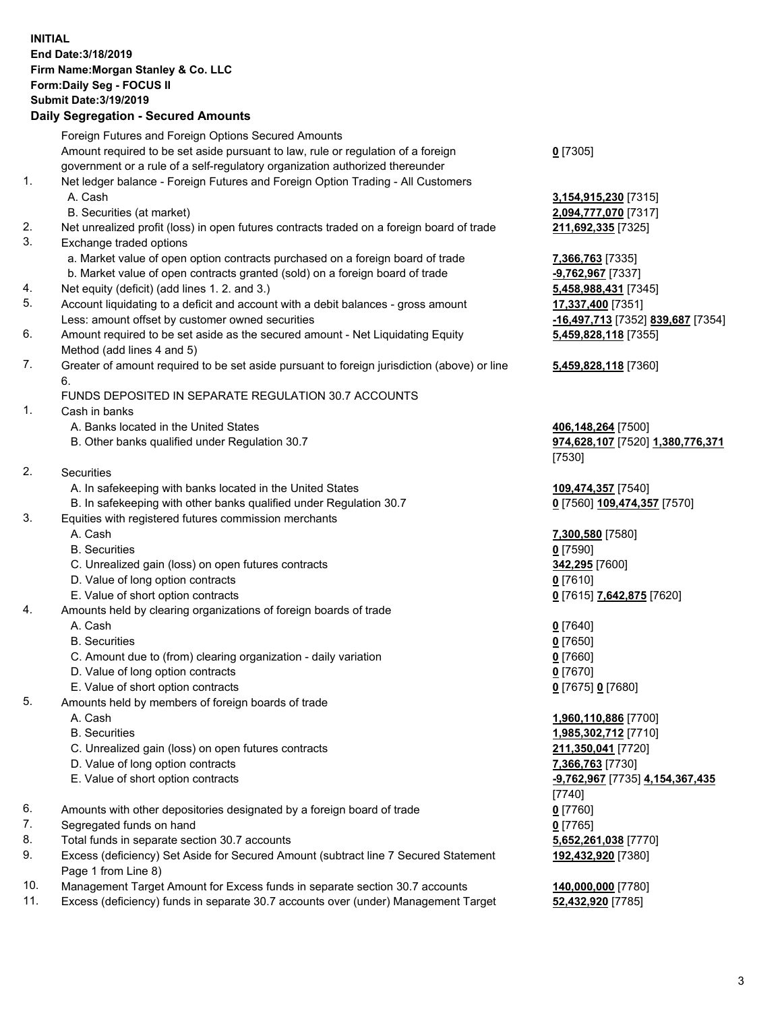## **INITIAL End Date:3/18/2019 Firm Name:Morgan Stanley & Co. LLC Form:Daily Seg - FOCUS II Submit Date:3/19/2019 Daily Segregation - Secured Amounts**

|          | Foreign Futures and Foreign Options Secured Amounts                                                       |                          |
|----------|-----------------------------------------------------------------------------------------------------------|--------------------------|
|          | Amount required to be set aside pursuant to law, rule or regulation of a foreign                          | $0$ [7305]               |
|          | government or a rule of a self-regulatory organization authorized thereunder                              |                          |
| 1.       | Net ledger balance - Foreign Futures and Foreign Option Trading - All Customers                           |                          |
|          | A. Cash                                                                                                   | 3,154,91                 |
|          | B. Securities (at market)                                                                                 | 2,094,77                 |
| 2.<br>3. | Net unrealized profit (loss) in open futures contracts traded on a foreign board of trade                 | 211,692                  |
|          | Exchange traded options<br>a. Market value of open option contracts purchased on a foreign board of trade |                          |
|          | b. Market value of open contracts granted (sold) on a foreign board of trade                              | 7,366,76<br>$-9,762,9$   |
| 4.       | Net equity (deficit) (add lines 1.2. and 3.)                                                              | 5,458,98                 |
| 5.       | Account liquidating to a deficit and account with a debit balances - gross amount                         | 17,337,4                 |
|          | Less: amount offset by customer owned securities                                                          | $-16,497,$               |
| 6.       | Amount required to be set aside as the secured amount - Net Liquidating Equity                            | 5,459,82                 |
|          | Method (add lines 4 and 5)                                                                                |                          |
| 7.       | Greater of amount required to be set aside pursuant to foreign jurisdiction (above) or line               | 5,459,82                 |
|          | 6.                                                                                                        |                          |
|          | FUNDS DEPOSITED IN SEPARATE REGULATION 30.7 ACCOUNTS                                                      |                          |
| 1.       | Cash in banks                                                                                             |                          |
|          | A. Banks located in the United States                                                                     | 406,148                  |
|          | B. Other banks qualified under Regulation 30.7                                                            | 974,628                  |
|          |                                                                                                           | $[7530]$                 |
| 2.       | Securities                                                                                                |                          |
|          | A. In safekeeping with banks located in the United States                                                 | 109,474                  |
|          | B. In safekeeping with other banks qualified under Regulation 30.7                                        | $0$ [7560]               |
| 3.       | Equities with registered futures commission merchants                                                     |                          |
|          | A. Cash                                                                                                   | 7,300,58                 |
|          | <b>B.</b> Securities                                                                                      | $0$ [7590]               |
|          | C. Unrealized gain (loss) on open futures contracts                                                       | 342,295                  |
|          | D. Value of long option contracts                                                                         | $0$ [7610]               |
|          | E. Value of short option contracts                                                                        | $0$ [7615]               |
| 4.       | Amounts held by clearing organizations of foreign boards of trade<br>A. Cash                              |                          |
|          | <b>B.</b> Securities                                                                                      | $0$ [7640]               |
|          | C. Amount due to (from) clearing organization - daily variation                                           | $0$ [7650]<br>$0$ [7660] |
|          | D. Value of long option contracts                                                                         | $0$ [7670]               |
|          | E. Value of short option contracts                                                                        | $0$ [7675]               |
| 5.       | Amounts held by members of foreign boards of trade                                                        |                          |
|          | A. Cash                                                                                                   | 1,960,11                 |
|          | <b>B.</b> Securities                                                                                      | 1,985,30                 |
|          | C. Unrealized gain (loss) on open futures contracts                                                       | 211,350                  |
|          | D. Value of long option contracts                                                                         | 7,366,76                 |
|          | E. Value of short option contracts                                                                        | $-9,762,9$               |
|          |                                                                                                           | [7740]                   |
| 6.       | Amounts with other depositories designated by a foreign board of trade                                    | $0$ [7760]               |
| 7.       | Segregated funds on hand                                                                                  | $0$ [7765]               |
| 8.       | Total funds in separate section 30.7 accounts                                                             | 5,652,26                 |
| 9.       | Excess (deficiency) Set Aside for Secured Amount (subtract line 7 Secured Statement                       | 192,432                  |
|          | Page 1 from Line 8)                                                                                       |                          |

- 10. Management Target Amount for Excess funds in separate section 30.7 accounts **140,000,000** [7780]
- 11. Excess (deficiency) funds in separate 30.7 accounts over (under) Management Target **52,432,920** [7785]

 A. Cash **3,154,915,230** [7315] B. Securities (at market) **2,094,777,070** [7317] 211,692,335 [7325]

**7,366,763** [7335] **-9,762,967** [7337] 5,458,988,431 [7345] 5. Account liquidating to a deficit and account with a debit balances - gross amount **17,337,400** [7351] Less: amount offset by customer owned securities **-16,497,713** [7352] **839,687** [7354] **5,459,828,118** [7355]

## **5,459,828,118** [7360]

A06,148,264 [7500] B. Other banks qualified under Regulation 30.7 **974,628,107** [7520] **1,380,776,371** [7530]

 A. In safekeeping with banks located in the United States **109,474,357** [7540] **0** [7560] **109,474,357** [7570]

 A. Cash **7,300,580** [7580] C. Unrealized gain (loss) on open futures contracts **342,295** [7600] E. Value of short option contracts **0** [7615] **7,642,875** [7620]

E. Value of short option contracts **0** [7675] **0** [7680]

 A. Cash **1,960,110,886** [7700] B. Securities **1,985,302,712** [7710] C. Unrealized gain (loss) on open futures contracts **211,350,041** [7720] D. Value of long option contracts **7,366,763** [7730] E. Value of short option contracts **-9,762,967** [7735] **4,154,367,435** [7740]  $5,652,261,038$  [7770] **192,432,920** [7380]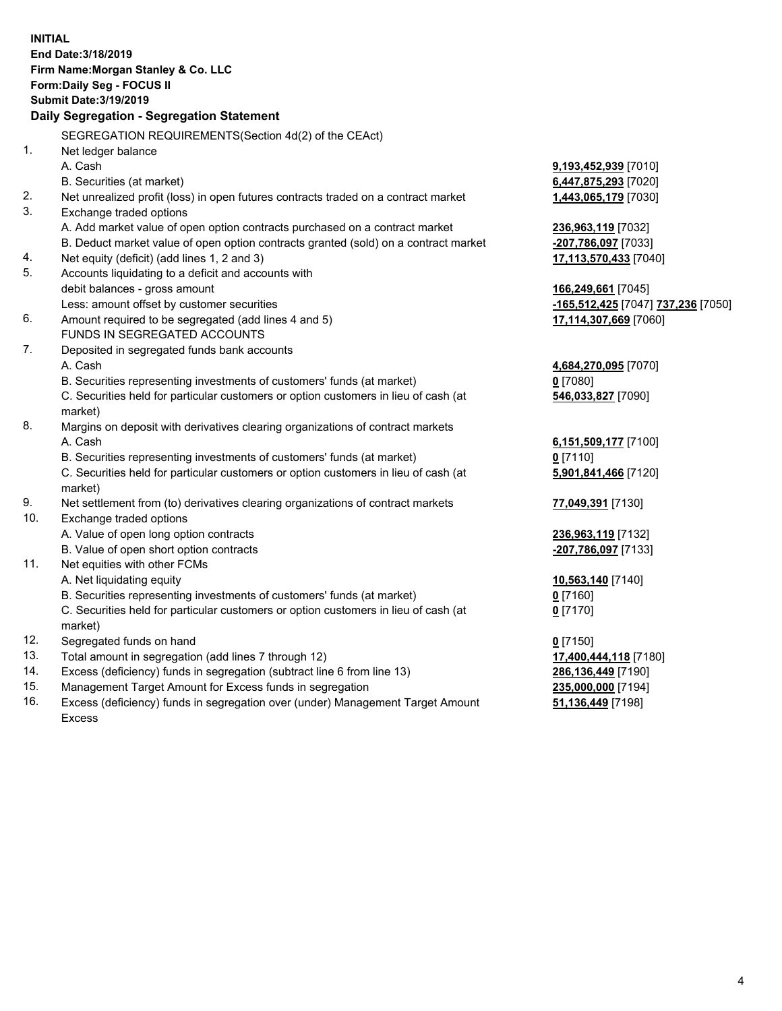**INITIAL End Date:3/18/2019 Firm Name:Morgan Stanley & Co. LLC Form:Daily Seg - FOCUS II Submit Date:3/19/2019 Daily Segregation - Segregation Statement** SEGREGATION REQUIREMENTS(Section 4d(2) of the CEAct) 1. Net ledger balance A. Cash **9,193,452,939** [7010] B. Securities (at market) **6,447,875,293** [7020] 2. Net unrealized profit (loss) in open futures contracts traded on a contract market **1,443,065,179** [7030] 3. Exchange traded options A. Add market value of open option contracts purchased on a contract market **236,963,119** [7032] B. Deduct market value of open option contracts granted (sold) on a contract market **-207,786,097** [7033] 4. Net equity (deficit) (add lines 1, 2 and 3) **17,113,570,433** [7040] 5. Accounts liquidating to a deficit and accounts with debit balances - gross amount **166,249,661** [7045] Less: amount offset by customer securities **-165,512,425** [7047] **737,236** [7050] 6. Amount required to be segregated (add lines 4 and 5) **17,114,307,669** [7060] FUNDS IN SEGREGATED ACCOUNTS 7. Deposited in segregated funds bank accounts A. Cash **4,684,270,095** [7070] B. Securities representing investments of customers' funds (at market) **0** [7080] C. Securities held for particular customers or option customers in lieu of cash (at market) **546,033,827** [7090] 8. Margins on deposit with derivatives clearing organizations of contract markets A. Cash **6,151,509,177** [7100] B. Securities representing investments of customers' funds (at market) **0** [7110] C. Securities held for particular customers or option customers in lieu of cash (at market) **5,901,841,466** [7120] 9. Net settlement from (to) derivatives clearing organizations of contract markets **77,049,391** [7130] 10. Exchange traded options A. Value of open long option contracts **236,963,119** [7132] B. Value of open short option contracts **-207,786,097** [7133] 11. Net equities with other FCMs A. Net liquidating equity **10,563,140** [7140] B. Securities representing investments of customers' funds (at market) **0** [7160] C. Securities held for particular customers or option customers in lieu of cash (at market) **0** [7170] 12. Segregated funds on hand **0** [7150] 13. Total amount in segregation (add lines 7 through 12) **17,400,444,118** [7180] 14. Excess (deficiency) funds in segregation (subtract line 6 from line 13) **286,136,449** [7190] 15. Management Target Amount for Excess funds in segregation **235,000,000** [7194] 16. Excess (deficiency) funds in segregation over (under) Management Target Amount **51,136,449** [7198]

Excess